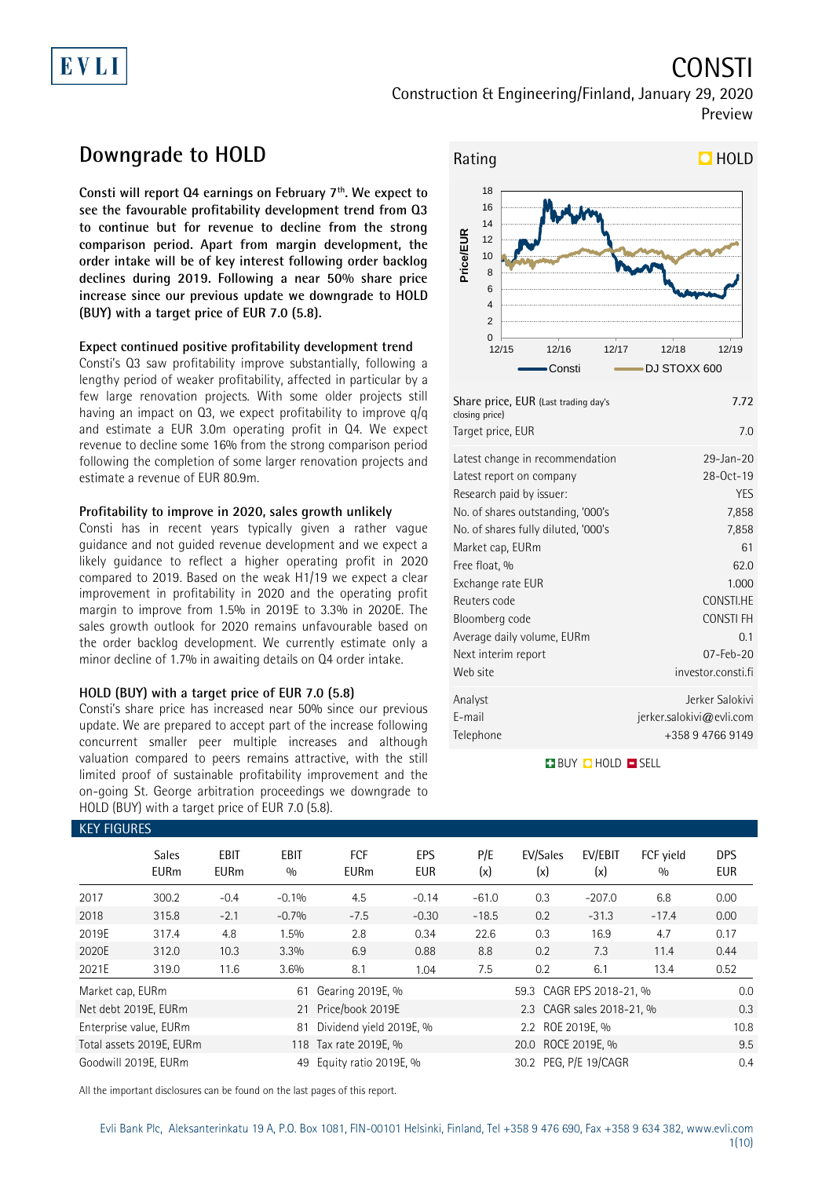# EVLI

# CONSTI

Construction & Engineering/Finland, January 29, 2020 Preview

## **Downgrade to HOLD**

**Consti will report Q4 earnings on February 7th. We expect to see the favourable profitability development trend from Q3 to continue but for revenue to decline from the strong comparison period. Apart from margin development, the order intake will be of key interest following order backlog declines during 2019. Following a near 50% share price increase since our previous update we downgrade to HOLD (BUY) with a target price of EUR 7.0 (5.8).** 

### **Expect continued positive profitability development trend**

Consti's Q3 saw profitability improve substantially, following a lengthy period of weaker profitability, affected in particular by a few large renovation projects. With some older projects still having an impact on Q3, we expect profitability to improve q/q and estimate a EUR 3.0m operating profit in Q4. We expect revenue to decline some 16% from the strong comparison period following the completion of some larger renovation projects and estimate a revenue of EUR 80.9m.

### **Profitability to improve in 2020, sales growth unlikely**

Consti has in recent years typically given a rather vague guidance and not guided revenue development and we expect a likely guidance to reflect a higher operating profit in 2020 compared to 2019. Based on the weak H1/19 we expect a clear improvement in profitability in 2020 and the operating profit margin to improve from 1.5% in 2019E to 3.3% in 2020E. The sales growth outlook for 2020 remains unfavourable based on the order backlog development. We currently estimate only a minor decline of 1.7% in awaiting details on Q4 order intake.

### **HOLD (BUY) with a target price of EUR 7.0 (5.8)**

Consti's share price has increased near 50% since our previous update. We are prepared to accept part of the increase following concurrent smaller peer multiple increases and although valuation compared to peers remains attractive, with the still limited proof of sustainable profitability improvement and the on-going St. George arbitration proceedings we downgrade to HOLD (BUY) with a target price of EUR 7.0 (5.8).



| Share price, EUR (Last trading day's<br>closing price) | 7.72                     |
|--------------------------------------------------------|--------------------------|
| Target price, EUR                                      | 7.0                      |
| Latest change in recommendation                        | 29-Jan-20                |
| Latest report on company                               | 28-Oct-19                |
| Research paid by issuer:                               | <b>YES</b>               |
| No. of shares outstanding, '000's                      | 7,858                    |
| No. of shares fully diluted, '000's                    | 7,858                    |
| Market cap, EURm                                       | 61                       |
| Free float, %                                          | 62.0                     |
| Exchange rate EUR                                      | 1.000                    |
| Reuters code                                           | CONSTI.HE                |
| Bloomberg code                                         | <b>CONSTIFH</b>          |
| Average daily volume, EURm                             | 0.1                      |
| Next interim report                                    | 07-Feb-20                |
| Web site                                               | investor.consti.fi       |
| Analyst                                                | Jerker Salokivi          |
| E-mail                                                 | jerker.salokivi@evli.com |
| Telephone                                              | +358947669149            |

**BUY QHOLD SELL** 

| <b>KEY FIGURES</b> |                             |                            |                    |                           |                   |                       |                          |                           |                  |                          |
|--------------------|-----------------------------|----------------------------|--------------------|---------------------------|-------------------|-----------------------|--------------------------|---------------------------|------------------|--------------------------|
|                    | <b>Sales</b><br><b>EURm</b> | <b>EBIT</b><br><b>EURm</b> | <b>EBIT</b><br>0/0 | <b>FCF</b><br><b>EURm</b> | EPS<br><b>EUR</b> | P/E<br>(x)            | EV/Sales<br>(x)          | EV/EBIT<br>(x)            | FCF vield<br>0/0 | <b>DPS</b><br><b>EUR</b> |
| 2017               | 300.2                       | $-0.4$                     | $-0.1%$            | 4.5                       | $-0.14$           | $-61.0$               | 0.3                      | $-207.0$                  | 6.8              | 0.00                     |
| 2018               | 315.8                       | $-2.1$                     | $-0.7%$            | $-7.5$                    | $-0.30$           | $-18.5$               | 0.2                      | $-31.3$                   | $-17.4$          | 0.00                     |
| 2019E              | 317.4                       | 4.8                        | 1.5%               | 2.8                       | 0.34              | 22.6                  | 0.3                      | 16.9                      | 4.7              | 0.17                     |
| 2020E              | 312.0                       | 10.3                       | 3.3%               | 6.9                       | 0.88              | 8.8                   | 0.2                      | 7.3                       | 11.4             | 0.44                     |
| 2021E              | 319.0                       | 11.6                       | 3.6%               | 8.1                       | 1.04              | 7.5                   | 0.2                      | 6.1                       | 13.4             | 0.52                     |
| Market cap, EURm   |                             |                            | 61                 | Gearing 2019E, %          |                   |                       | 59.3 CAGR EPS 2018-21, % |                           |                  | 0.0                      |
|                    | Net debt 2019E, EURm        |                            | 21                 | Price/book 2019E          |                   |                       |                          | 2.3 CAGR sales 2018-21, % |                  | 0.3                      |
|                    | Enterprise value, EURm      |                            | 81                 | Dividend yield 2019E, %   |                   |                       |                          | 10.8                      |                  |                          |
|                    | Total assets 2019E, EURm    |                            |                    | 118 Tax rate 2019E, %     |                   | 20.0 ROCE 2019E, %    |                          |                           |                  | 9.5                      |
|                    | Goodwill 2019E, EURm        |                            | 49                 | Equity ratio 2019E, %     |                   | 30.2 PEG, P/E 19/CAGR |                          |                           |                  | 0.4                      |

All the important disclosures can be found on the last pages of this report.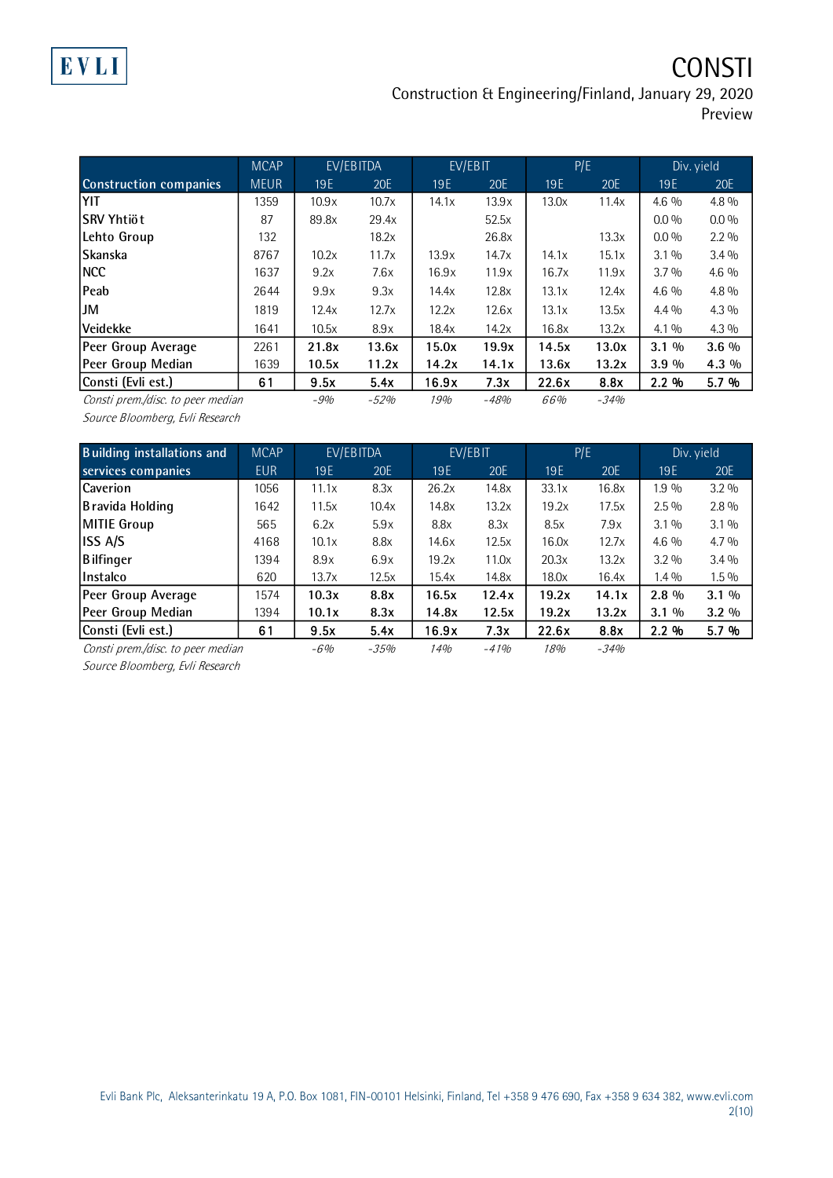**CONSTI** 

Construction & Engineering/Finland, January 29, 2020

|  | Preview |
|--|---------|
|  |         |
|  |         |
|  |         |

|                                   | <b>MCAP</b> |       | EV/EBITDA |                 | EV/EBIT |       | P/E    |            | Div. yield |
|-----------------------------------|-------------|-------|-----------|-----------------|---------|-------|--------|------------|------------|
| <b>Construction companies</b>     | <b>MEUR</b> | 19E   | 20E       | 19 <sub>E</sub> | 20E     | 19E   | 20E    | <b>19E</b> | 20E        |
| YIT                               | 1359        | 10.9x | 10.7x     | 14.1x           | 13.9x   | 13.0x | 11.4x  | $4.6\%$    | $4.8\%$    |
| lSRV Yhtiöt                       | 87          | 89.8x | 29.4x     |                 | 52.5x   |       |        | $0.0\%$    | $0.0\%$    |
| Lehto Group                       | 132         |       | 18.2x     |                 | 26.8x   |       | 13.3x  | $0.0\%$    | $2.2\%$    |
| Skanska                           | 8767        | 10.2x | 11.7x     | 13.9x           | 14.7x   | 14.1x | 15.1x  | $3.1\%$    | $3.4\%$    |
| INCC                              | 1637        | 9.2x  | 7.6x      | 16.9x           | 11.9x   | 16.7x | 11.9x  | 3.7%       | $4.6\%$    |
| Peab                              | 2644        | 9.9x  | 9.3x      | 14.4x           | 12.8x   | 13.1x | 12.4x  | $4.6\%$    | $4.8\%$    |
| IJM                               | 1819        | 12.4x | 12.7x     | 12.2x           | 12.6x   | 13.1x | 13.5x  | $4.4\%$    | $4.3\%$    |
| Veidekke                          | 1641        | 10.5x | 8.9x      | 18.4x           | 14.2x   | 16.8x | 13.2x  | $4.1\%$    | $4.3\%$    |
| Peer Group Average                | 2261        | 21.8x | 13.6x     | 15.0x           | 19.9x   | 14.5x | 13.0x  | $3.1\%$    | $3.6\%$    |
| Peer Group Median                 | 1639        | 10.5x | 11.2x     | 14.2x           | 14.1x   | 13.6x | 13.2x  | 3.9%       | 4.3 %      |
| Consti (Evli est.)                | 61          | 9.5x  | 5.4x      | 16.9x           | 7.3x    | 22.6x | 8.8x   | 2.2%       | 5.7 %      |
| Consti prem./disc. to peer median |             | $-9%$ | $-52%$    | 19%             | $-48%$  | 66%   | $-34%$ |            |            |

Source Bloomberg, Evli Research

| <b>Building installations and</b> | <b>MCAP</b> |       | EV/EBITDA |                 | EV/EBIT    | P/E   |        |         | Div. yield |
|-----------------------------------|-------------|-------|-----------|-----------------|------------|-------|--------|---------|------------|
| services companies                | <b>EUR</b>  | 19E   | 20E       | 19 <sub>E</sub> | <b>20E</b> | 19E   | 20E    | 19E     | 20E        |
| Caverion                          | 1056        | 11.1x | 8.3x      | 26.2x           | 14.8x      | 33.1x | 16.8x  | 1.9 %   | $3.2\%$    |
| B ravida Holding                  | 1642        | 11.5x | 10.4x     | 14.8x           | 13.2x      | 19.2x | 17.5x  | $2.5\%$ | $2.8\%$    |
| MITIE Group                       | 565         | 6.2x  | 5.9x      | 8.8x            | 8.3x       | 8.5x  | 7.9x   | $3.1\%$ | $3.1\%$    |
| <b>ISS A/S</b>                    | 4168        | 10.1x | 8.8x      | 14.6x           | 12.5x      | 16.0x | 12.7x  | $4.6\%$ | $4.7\%$    |
| Bilfinger                         | 1394        | 8.9x  | 6.9x      | 19.2x           | 11.0x      | 20.3x | 13.2x  | $3.2\%$ | $3.4\%$    |
| <b>Instalco</b>                   | 620         | 13.7x | 12.5x     | 15.4x           | 14.8x      | 18.0x | 16.4x  | $1.4\%$ | $1.5\%$    |
| Peer Group Average                | 1574        | 10.3x | 8.8x      | 16.5x           | 12.4x      | 19.2x | 14.1x  | $2.8\%$ | $3.1\%$    |
| Peer Group Median                 | 1394        | 10.1x | 8.3x      | 14.8x           | 12.5x      | 19.2x | 13.2x  | $3.1\%$ | $3.2\%$    |
| Consti (Evli est.)                | 61          | 9.5x  | 5.4x      | 16.9x           | 7.3x       | 22.6x | 8.8x   | 2.2%    | 5.7 %      |
| Consti prem./disc. to peer median |             | $-6%$ | $-35%$    | 14%             | $-41%$     | 18%   | $-34%$ |         |            |

Source Bloomberg, Evli Research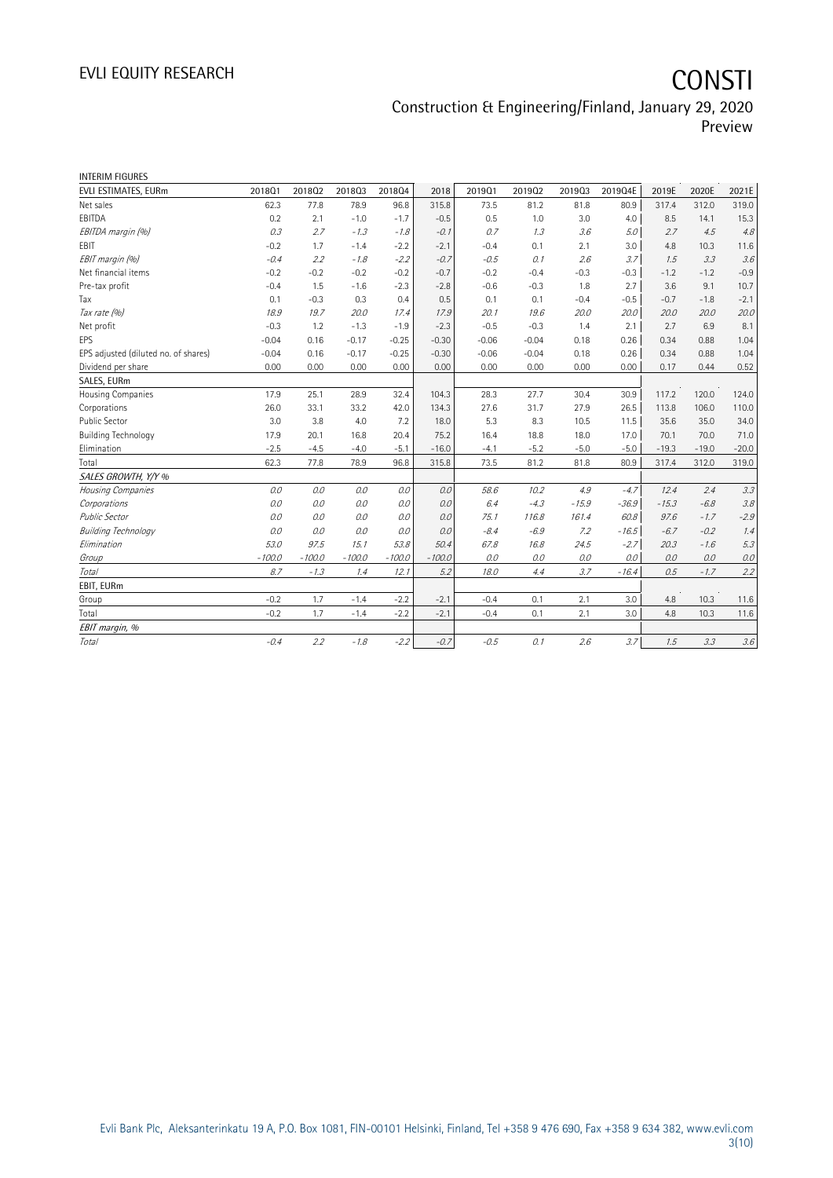# EVLI EQUITY RESEARCH **CONSTI**

Construction & Engineering/Finland, January 29, 2020 Preview

| <b>INTERIM FIGURES</b>               |          |          |          |          |          |         |         |         |         |         |         |         |
|--------------------------------------|----------|----------|----------|----------|----------|---------|---------|---------|---------|---------|---------|---------|
| EVLI ESTIMATES, EURm                 | 2018Q1   | 201802   | 201803   | 201804   | 2018     | 2019Q1  | 201902  | 201903  | 2019Q4E | 2019E   | 2020E   | 2021E   |
| Net sales                            | 62.3     | 77.8     | 78.9     | 96.8     | 315.8    | 73.5    | 81.2    | 81.8    | 80.9    | 317.4   | 312.0   | 319.0   |
| EBITDA                               | 0.2      | 2.1      | $-1.0$   | $-1.7$   | $-0.5$   | 0.5     | 1.0     | 3.0     | 4.0     | 8.5     | 14.1    | 15.3    |
| EBITDA margin (%)                    | 0.3      | 2.7      | $-1.3$   | $-1.8$   | $-0.1$   | 0.7     | 1.3     | 3.6     | 5.0     | 2.7     | 4.5     | 4.8     |
| EBIT                                 | $-0.2$   | 1.7      | $-1.4$   | $-2.2$   | $-2.1$   | $-0.4$  | 0.1     | 2.1     | 3.0     | 4.8     | 10.3    | 11.6    |
| EBIT margin (%)                      | $-0.4$   | 2.2      | $-1.8$   | $-2.2$   | $-0.7$   | $-0.5$  | 0.1     | 2.6     | 3.7     | 1.5     | 3.3     | 3.6     |
| Net financial items                  | $-0.2$   | $-0.2$   | $-0.2$   | $-0.2$   | $-0.7$   | $-0.2$  | $-0.4$  | $-0.3$  | $-0.3$  | $-1.2$  | $-1.2$  | $-0.9$  |
| Pre-tax profit                       | $-0.4$   | 1.5      | $-1.6$   | $-2.3$   | $-2.8$   | $-0.6$  | $-0.3$  | 1.8     | 2.7     | 3.6     | 9.1     | 10.7    |
| Tax                                  | 0.1      | $-0.3$   | 0.3      | 0.4      | 0.5      | 0.1     | 0.1     | $-0.4$  | $-0.5$  | $-0.7$  | $-1.8$  | $-2.1$  |
| Tax rate (%)                         | 18.9     | 19.7     | 20.0     | 17.4     | 17.9     | 20.1    | 19.6    | 20.0    | 20.0    | 20.0    | 20.0    | 20.0    |
| Net profit                           | $-0.3$   | 1.2      | $-1.3$   | $-1.9$   | $-2.3$   | $-0.5$  | $-0.3$  | 1.4     | 2.1     | 2.7     | 6.9     | 8.1     |
| <b>EPS</b>                           | $-0.04$  | 0.16     | $-0.17$  | $-0.25$  | $-0.30$  | $-0.06$ | $-0.04$ | 0.18    | 0.26    | 0.34    | 0.88    | 1.04    |
| EPS adjusted (diluted no. of shares) | $-0.04$  | 0.16     | $-0.17$  | $-0.25$  | $-0.30$  | $-0.06$ | $-0.04$ | 0.18    | 0.26    | 0.34    | 0.88    | 1.04    |
| Dividend per share                   | 0.00     | 0.00     | 0.00     | 0.00     | 0.00     | 0.00    | 0.00    | 0.00    | 0.00    | 0.17    | 0.44    | 0.52    |
| SALES, EURm                          |          |          |          |          |          |         |         |         |         |         |         |         |
| Housing Companies                    | 17.9     | 25.1     | 28.9     | 32.4     | 104.3    | 28.3    | 27.7    | 30.4    | 30.9    | 117.2   | 120.0   | 124.0   |
| Corporations                         | 26.0     | 33.1     | 33.2     | 42.0     | 134.3    | 27.6    | 31.7    | 27.9    | 26.5    | 113.8   | 106.0   | 110.0   |
| Public Sector                        | 3.0      | 3.8      | 4.0      | 7.2      | 18.0     | 5.3     | 8.3     | 10.5    | 11.5    | 35.6    | 35.0    | 34.0    |
| <b>Building Technology</b>           | 17.9     | 20.1     | 16.8     | 20.4     | 75.2     | 16.4    | 18.8    | 18.0    | 17.0    | 70.1    | 70.0    | 71.0    |
| Elimination                          | $-2.5$   | $-4.5$   | $-4.0$   | $-5.1$   | $-16.0$  | $-4.1$  | $-5.2$  | $-5.0$  | $-5.0$  | $-19.3$ | $-19.0$ | $-20.0$ |
| Total                                | 62.3     | 77.8     | 78.9     | 96.8     | 315.8    | 73.5    | 81.2    | 81.8    | 80.9    | 317.4   | 312.0   | 319.0   |
| SALES GROWTH, Y/Y %                  |          |          |          |          |          |         |         |         |         |         |         |         |
| Housing Companies                    | 0.0      | 0.0      | 0.0      | 0.0      | 0.0      | 58.6    | 10.2    | 4.9     | $-4.7$  | 12.4    | 2.4     | 3.3     |
| Corporations                         | 0.0      | 0.0      | 0.0      | 0.0      | 0.0      | 6.4     | $-4.3$  | $-15.9$ | $-36.9$ | $-15.3$ | $-6.8$  | 3.8     |
| <b>Public Sector</b>                 | 0.0      | 0.0      | 0.0      | 0.0      | 0.0      | 75.1    | 116.8   | 161.4   | 60.8    | 97.6    | $-1.7$  | $-2.9$  |
| <b>Building Technology</b>           | 0.0      | 0.0      | 0.0      | 0.0      | 0.0      | $-8.4$  | $-6.9$  | 7.2     | $-16.5$ | $-6.7$  | $-0.2$  | 1.4     |
| Elimination                          | 53.0     | 97.5     | 15.1     | 53.8     | 50.4     | 67.8    | 16.8    | 24.5    | $-2.7$  | 20.3    | $-1.6$  | 5.3     |
| Group                                | $-100.0$ | $-100.0$ | $-100.0$ | $-100.0$ | $-100.0$ | 0.0     | 0.0     | 0.0     | 0.0     | 0.0     | 0.0     | $0.0\,$ |
| Total                                | 8.7      | $-1.3$   | 1.4      | 12.1     | 5.2      | 18.0    | 4.4     | 3.7     | $-16.4$ | 0.5     | $-1.7$  | 2.2     |
| EBIT, EURm                           |          |          |          |          |          |         |         |         |         |         |         |         |
| Group                                | $-0.2$   | 1.7      | $-1.4$   | $-2.2$   | $-2.1$   | $-0.4$  | 0.1     | 2.1     | 3.0     | 4.8     | 10.3    | 11.6    |
| Total                                | $-0.2$   | 1.7      | $-1.4$   | $-2.2$   | $-2.1$   | $-0.4$  | 0.1     | 2.1     | 3.0     | 4.8     | 10.3    | 11.6    |
| EBIT margin, %                       |          |          |          |          |          |         |         |         |         |         |         |         |
| Total                                | $-0.4$   | 2.2      | $-1.8$   | $-2.2$   | $-0.7$   | $-0.5$  | 0.1     | 2.6     | 3.7     | 1.5     | 3.3     | $3.6\,$ |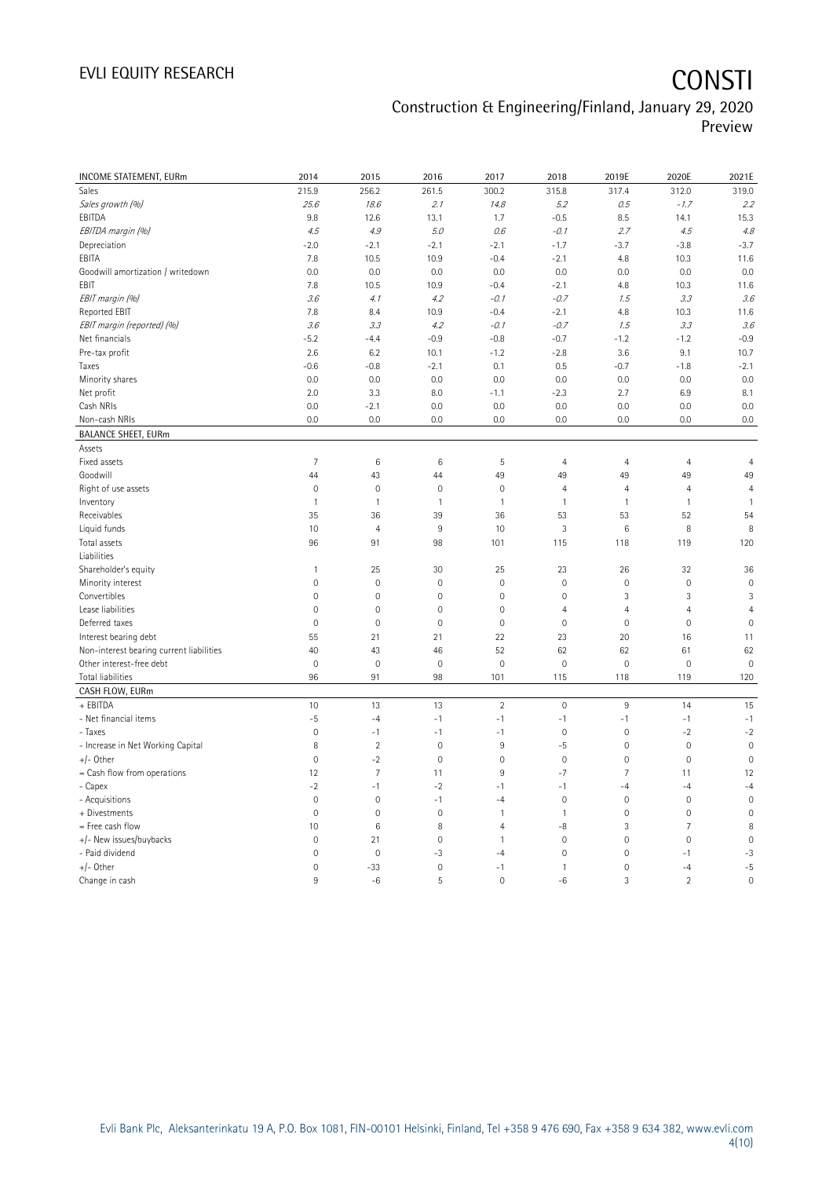# EVLI EQUITY RESEARCH **CONSTI**

### Construction & Engineering/Finland, January 29, 2020 Preview

| INCOME STATEMENT, EURm<br>215.9<br>256.2<br>261.5<br>300.2<br>315.8<br>317.4<br>312.0<br>319.0<br>Sales<br>25.6<br>2.1<br>5.2<br>0.5<br>2.2<br>Sales growth (%)<br>18.6<br>14.8<br>$-1.7$<br>EBITDA<br>$-0.5$<br>9.8<br>12.6<br>13.1<br>1.7<br>8.5<br>14.1<br>15.3<br>4.8<br>EBITDA margin (%)<br>4.5<br>4.9<br>5.0<br>0.6<br>$-0.1$<br>2.7<br>4.5<br>Depreciation<br>$-2.0$<br>$-2.1$<br>$-2.1$<br>$-3.7$<br>$-3.7$<br>$-2.1$<br>$-1.7$<br>$-3.8$<br>EBITA<br>7.8<br>10.5<br>10.9<br>$-0.4$<br>$-2.1$<br>4.8<br>10.3<br>11.6<br>0.0<br>0.0<br>Goodwill amortization / writedown<br>0.0<br>0.0<br>0.0<br>0.0<br>0.0<br>0.0<br>EBIT<br>10.9<br>$-2.1$<br>7.8<br>10.5<br>$-0.4$<br>4.8<br>10.3<br>11.6<br>EBIT margin (%)<br>3.6<br>4.2<br>$-0.1$<br>$-0.7$<br>1.5<br>3.3<br>3.6<br>4.1<br>Reported EBIT<br>10.9<br>7.8<br>8.4<br>$-0.4$<br>$-2.1$<br>4.8<br>10.3<br>11.6<br>EBIT margin (reported) (%)<br>4.2<br>$-0.7$<br>1.5<br>3.3<br>3.6<br>3.6<br>3.3<br>$-0.1$<br>$-5.2$<br>$-0.9$<br>$-0.7$<br>$-1.2$<br>$-0.9$<br>Net financials<br>$-4.4$<br>$-0.8$<br>$-1.2$ |
|-----------------------------------------------------------------------------------------------------------------------------------------------------------------------------------------------------------------------------------------------------------------------------------------------------------------------------------------------------------------------------------------------------------------------------------------------------------------------------------------------------------------------------------------------------------------------------------------------------------------------------------------------------------------------------------------------------------------------------------------------------------------------------------------------------------------------------------------------------------------------------------------------------------------------------------------------------------------------------------------------------------------------------------------------------------------------|
|                                                                                                                                                                                                                                                                                                                                                                                                                                                                                                                                                                                                                                                                                                                                                                                                                                                                                                                                                                                                                                                                       |
|                                                                                                                                                                                                                                                                                                                                                                                                                                                                                                                                                                                                                                                                                                                                                                                                                                                                                                                                                                                                                                                                       |
|                                                                                                                                                                                                                                                                                                                                                                                                                                                                                                                                                                                                                                                                                                                                                                                                                                                                                                                                                                                                                                                                       |
|                                                                                                                                                                                                                                                                                                                                                                                                                                                                                                                                                                                                                                                                                                                                                                                                                                                                                                                                                                                                                                                                       |
|                                                                                                                                                                                                                                                                                                                                                                                                                                                                                                                                                                                                                                                                                                                                                                                                                                                                                                                                                                                                                                                                       |
|                                                                                                                                                                                                                                                                                                                                                                                                                                                                                                                                                                                                                                                                                                                                                                                                                                                                                                                                                                                                                                                                       |
|                                                                                                                                                                                                                                                                                                                                                                                                                                                                                                                                                                                                                                                                                                                                                                                                                                                                                                                                                                                                                                                                       |
|                                                                                                                                                                                                                                                                                                                                                                                                                                                                                                                                                                                                                                                                                                                                                                                                                                                                                                                                                                                                                                                                       |
|                                                                                                                                                                                                                                                                                                                                                                                                                                                                                                                                                                                                                                                                                                                                                                                                                                                                                                                                                                                                                                                                       |
|                                                                                                                                                                                                                                                                                                                                                                                                                                                                                                                                                                                                                                                                                                                                                                                                                                                                                                                                                                                                                                                                       |
|                                                                                                                                                                                                                                                                                                                                                                                                                                                                                                                                                                                                                                                                                                                                                                                                                                                                                                                                                                                                                                                                       |
|                                                                                                                                                                                                                                                                                                                                                                                                                                                                                                                                                                                                                                                                                                                                                                                                                                                                                                                                                                                                                                                                       |
| Pre-tax profit<br>$-2.8$<br>10.7<br>2.6<br>6.2<br>10.1<br>$-1.2$<br>3.6<br>9.1                                                                                                                                                                                                                                                                                                                                                                                                                                                                                                                                                                                                                                                                                                                                                                                                                                                                                                                                                                                        |
| $-0.6$<br>$-0.8$<br>$-2.1$<br>0.1<br>0.5<br>$-0.7$<br>$-1.8$<br>$-2.1$<br>Taxes                                                                                                                                                                                                                                                                                                                                                                                                                                                                                                                                                                                                                                                                                                                                                                                                                                                                                                                                                                                       |
| 0.0<br>0.0<br>Minority shares<br>0.0<br>0.0<br>0.0<br>0.0<br>0.0<br>0.0                                                                                                                                                                                                                                                                                                                                                                                                                                                                                                                                                                                                                                                                                                                                                                                                                                                                                                                                                                                               |
| Net profit<br>2.0<br>6.9<br>8.1<br>3.3<br>8.0<br>$-1.1$<br>$-2.3$<br>2.7                                                                                                                                                                                                                                                                                                                                                                                                                                                                                                                                                                                                                                                                                                                                                                                                                                                                                                                                                                                              |
| Cash NRIs<br>0.0<br>$-2.1$<br>0.0<br>0.0<br>0.0<br>0.0<br>0.0<br>0.0                                                                                                                                                                                                                                                                                                                                                                                                                                                                                                                                                                                                                                                                                                                                                                                                                                                                                                                                                                                                  |
| 0.0<br>Non-cash NRIs<br>0.0<br>0.0<br>0.0<br>0.0<br>0.0<br>0.0<br>0.0                                                                                                                                                                                                                                                                                                                                                                                                                                                                                                                                                                                                                                                                                                                                                                                                                                                                                                                                                                                                 |
| <b>BALANCE SHEET, EURm</b>                                                                                                                                                                                                                                                                                                                                                                                                                                                                                                                                                                                                                                                                                                                                                                                                                                                                                                                                                                                                                                            |
| Assets                                                                                                                                                                                                                                                                                                                                                                                                                                                                                                                                                                                                                                                                                                                                                                                                                                                                                                                                                                                                                                                                |
| Fixed assets<br>7<br>6<br>$\,6$<br>5<br>$\overline{4}$<br>$\overline{4}$<br>$\overline{4}$<br>$\overline{4}$                                                                                                                                                                                                                                                                                                                                                                                                                                                                                                                                                                                                                                                                                                                                                                                                                                                                                                                                                          |
| 44<br>49<br>49<br>49<br>Goodwill<br>44<br>43<br>49<br>49                                                                                                                                                                                                                                                                                                                                                                                                                                                                                                                                                                                                                                                                                                                                                                                                                                                                                                                                                                                                              |
| $\mathsf{O}\xspace$<br>$\mathbf 0$<br>$\mathbf 0$<br>$\mathbf 0$<br>$\overline{4}$<br>$\overline{4}$<br>$\overline{4}$<br>Right of use assets<br>$\overline{4}$                                                                                                                                                                                                                                                                                                                                                                                                                                                                                                                                                                                                                                                                                                                                                                                                                                                                                                       |
| Inventory<br>$\mathbf{1}$<br>$\mathbf{1}$<br>$\mathbf{1}$<br>$\mathbf{1}$<br>$\mathbf{1}$<br>$\mathbf{1}$<br>$\mathbf{1}$<br>$\mathbf{1}$                                                                                                                                                                                                                                                                                                                                                                                                                                                                                                                                                                                                                                                                                                                                                                                                                                                                                                                             |
| 53<br>Receivables<br>35<br>36<br>39<br>36<br>53<br>52<br>54                                                                                                                                                                                                                                                                                                                                                                                                                                                                                                                                                                                                                                                                                                                                                                                                                                                                                                                                                                                                           |
| Liquid funds<br>10<br>$\overline{4}$<br>9<br>3<br>8<br>10<br>$\,6$<br>8                                                                                                                                                                                                                                                                                                                                                                                                                                                                                                                                                                                                                                                                                                                                                                                                                                                                                                                                                                                               |
| Total assets<br>96<br>91<br>98<br>101<br>118<br>119<br>120<br>115                                                                                                                                                                                                                                                                                                                                                                                                                                                                                                                                                                                                                                                                                                                                                                                                                                                                                                                                                                                                     |
| Liabilities                                                                                                                                                                                                                                                                                                                                                                                                                                                                                                                                                                                                                                                                                                                                                                                                                                                                                                                                                                                                                                                           |
| Shareholder's equity<br>23<br>36<br>$\mathbf{1}$<br>25<br>30<br>25<br>26<br>32                                                                                                                                                                                                                                                                                                                                                                                                                                                                                                                                                                                                                                                                                                                                                                                                                                                                                                                                                                                        |
| $\mathsf{O}\xspace$<br>$\mathbf 0$<br>$\mathbf 0$<br>$\mathbf 0$<br>$\mathbf 0$<br>$\mathsf{O}\xspace$<br>$\mathbf 0$<br>$\mathbf 0$<br>Minority interest                                                                                                                                                                                                                                                                                                                                                                                                                                                                                                                                                                                                                                                                                                                                                                                                                                                                                                             |
| Convertibles<br>3<br>$\overline{0}$<br>$\mathbf 0$<br>$\mathbf{0}$<br>$\mathbf 0$<br>$\mathbf 0$<br>3<br>3                                                                                                                                                                                                                                                                                                                                                                                                                                                                                                                                                                                                                                                                                                                                                                                                                                                                                                                                                            |
| $\mathbf{0}$<br>Lease liabilities<br>$\overline{0}$<br>$\mathsf{O}\xspace$<br>$\mathbf 0$<br>$\overline{4}$<br>$\overline{4}$<br>$\overline{4}$<br>4                                                                                                                                                                                                                                                                                                                                                                                                                                                                                                                                                                                                                                                                                                                                                                                                                                                                                                                  |
| $\mathbf 0$<br>$\mathbf 0$<br>$\mathbf 0$<br>Deferred taxes<br>$\mathsf{O}\xspace$<br>$\mathbb O$<br>$\mathbb O$<br>$\mathbf 0$<br>$\mathbf 0$                                                                                                                                                                                                                                                                                                                                                                                                                                                                                                                                                                                                                                                                                                                                                                                                                                                                                                                        |
| 21<br>Interest bearing debt<br>55<br>21<br>22<br>23<br>20<br>16<br>11                                                                                                                                                                                                                                                                                                                                                                                                                                                                                                                                                                                                                                                                                                                                                                                                                                                                                                                                                                                                 |
| Non-interest bearing current liabilities<br>40<br>43<br>46<br>52<br>62<br>62<br>61<br>62                                                                                                                                                                                                                                                                                                                                                                                                                                                                                                                                                                                                                                                                                                                                                                                                                                                                                                                                                                              |
| $\mathbf 0$<br>$\mathbf 0$<br>$\mathbf 0$<br>Other interest-free debt<br>$\overline{0}$<br>$\mathbf{0}$<br>$\mathbf 0$<br>$\mathsf{O}\xspace$<br>$\mathbf{0}$                                                                                                                                                                                                                                                                                                                                                                                                                                                                                                                                                                                                                                                                                                                                                                                                                                                                                                         |
| Total liabilities<br>96<br>91<br>98<br>101<br>115<br>118<br>119<br>120                                                                                                                                                                                                                                                                                                                                                                                                                                                                                                                                                                                                                                                                                                                                                                                                                                                                                                                                                                                                |
| CASH FLOW, EURm                                                                                                                                                                                                                                                                                                                                                                                                                                                                                                                                                                                                                                                                                                                                                                                                                                                                                                                                                                                                                                                       |
| + EBITDA<br>10<br>13<br>13<br>$\overline{2}$<br>$\mathbf 0$<br>$\,9$<br>14<br>15                                                                                                                                                                                                                                                                                                                                                                                                                                                                                                                                                                                                                                                                                                                                                                                                                                                                                                                                                                                      |
| $-1$<br>$-1$<br>- Net financial items<br>$-5$<br>$-4$<br>$-1$<br>$-1$<br>$-1$<br>$-1$                                                                                                                                                                                                                                                                                                                                                                                                                                                                                                                                                                                                                                                                                                                                                                                                                                                                                                                                                                                 |
| $\mathsf{O}\xspace$<br>$-1$<br>$\mathbf 0$<br>$\mathsf{O}\xspace$<br>$-2$<br>$-2$<br>- Taxes<br>$-1$<br>$-1$                                                                                                                                                                                                                                                                                                                                                                                                                                                                                                                                                                                                                                                                                                                                                                                                                                                                                                                                                          |
| $\sqrt{2}$<br>9<br>- Increase in Net Working Capital<br>8<br>$\mathbf 0$<br>$-5$<br>$\mathbf 0$<br>$\mathbf 0$<br>$\overline{0}$                                                                                                                                                                                                                                                                                                                                                                                                                                                                                                                                                                                                                                                                                                                                                                                                                                                                                                                                      |
| $+/-$ Other<br>$\mathsf{O}\xspace$<br>$-2$<br>$\mathbf 0$<br>$\mathbf 0$<br>$\mathbf 0$<br>$\mathsf{O}\xspace$<br>$\mathbf 0$<br>$\mathbf 0$                                                                                                                                                                                                                                                                                                                                                                                                                                                                                                                                                                                                                                                                                                                                                                                                                                                                                                                          |
| = Cash flow from operations<br>$\overline{7}$<br>$-7$<br>$\overline{7}$<br>12<br>12<br>11<br>9<br>11                                                                                                                                                                                                                                                                                                                                                                                                                                                                                                                                                                                                                                                                                                                                                                                                                                                                                                                                                                  |
| $-2$<br>- Capex<br>$-1$<br>$-2$<br>$-1$<br>$-1$<br>$-4$<br>$-4$<br>$-4$                                                                                                                                                                                                                                                                                                                                                                                                                                                                                                                                                                                                                                                                                                                                                                                                                                                                                                                                                                                               |
| $\mathbf 0$<br>- Acquisitions<br>$\mathsf{O}\xspace$<br>$\mathbf 0$<br>$-1$<br>$-4$<br>$\mathbf 0$<br>$\mathsf{O}\xspace$<br>$\mathbf 0$                                                                                                                                                                                                                                                                                                                                                                                                                                                                                                                                                                                                                                                                                                                                                                                                                                                                                                                              |
| $\overline{0}$<br>$\mathbf 0$<br>$\mathbf 0$<br>$\mathbf 0$<br>$\overline{0}$<br>+ Divestments<br>$\mathbf{1}$<br>$\mathbf{1}$<br>$\mathbf 0$                                                                                                                                                                                                                                                                                                                                                                                                                                                                                                                                                                                                                                                                                                                                                                                                                                                                                                                         |
| = Free cash flow<br>10<br>6<br>8<br>$\overline{4}$<br>-8<br>3<br>7<br>8                                                                                                                                                                                                                                                                                                                                                                                                                                                                                                                                                                                                                                                                                                                                                                                                                                                                                                                                                                                               |
| $\mathbf 0$<br>$\mathbf 0$<br>$\mathbf 0$<br>+/- New issues/buybacks<br>$\mathsf{O}\xspace$<br>21<br>$\mathsf{O}\xspace$<br>$\mathbf 0$<br>$\mathbf{1}$                                                                                                                                                                                                                                                                                                                                                                                                                                                                                                                                                                                                                                                                                                                                                                                                                                                                                                               |
| - Paid dividend<br>$\mathbf 0$<br>$\mathbf 0$<br>$-3$<br>$\mathbf 0$<br>$\mathsf{O}\xspace$<br>$-1$<br>$-3$<br>$-4$                                                                                                                                                                                                                                                                                                                                                                                                                                                                                                                                                                                                                                                                                                                                                                                                                                                                                                                                                   |
| $+/-$ Other<br>$\mathbf 0$<br>$-5$<br>$\overline{0}$<br>$-33$<br>$-1$<br>$\mathbf{1}$<br>$\mathbf 0$<br>$-4$                                                                                                                                                                                                                                                                                                                                                                                                                                                                                                                                                                                                                                                                                                                                                                                                                                                                                                                                                          |
| 3<br>$\overline{2}$<br>$\overline{0}$<br>9<br>$-6$<br>5<br>$\mathbf 0$<br>$-6$<br>Change in cash                                                                                                                                                                                                                                                                                                                                                                                                                                                                                                                                                                                                                                                                                                                                                                                                                                                                                                                                                                      |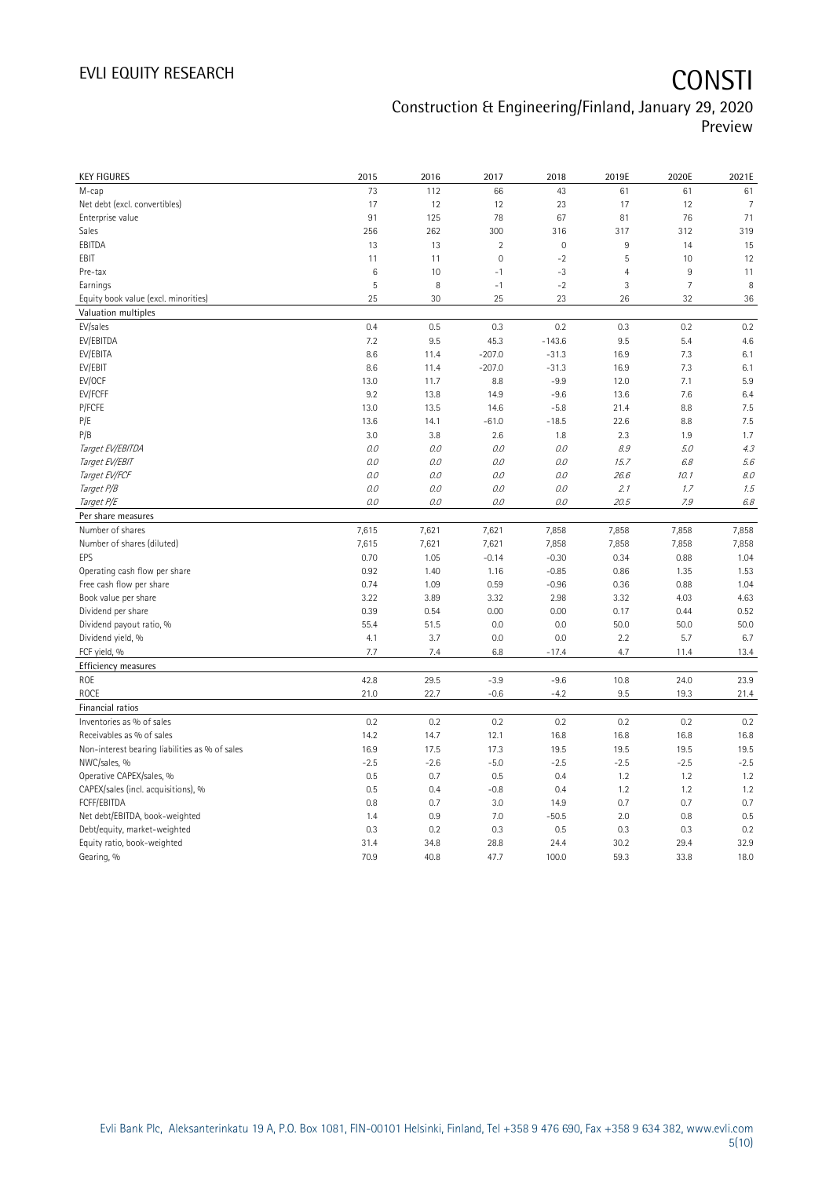| <b>KEY FIGURES</b>                             | 2015   | 2016    | 2017        | 2018                | 2019E          | 2020E          | 2021E  |
|------------------------------------------------|--------|---------|-------------|---------------------|----------------|----------------|--------|
| M-cap                                          | 73     | 112     | 66          | 43                  | 61             | 61             | 61     |
| Net debt (excl. convertibles)                  | 17     | 12      | 12          | 23                  | 17             | 12             | 7      |
| Enterprise value                               | 91     | 125     | 78          | 67                  | 81             | 76             | 71     |
| Sales                                          | 256    | 262     | 300         | 316                 | 317            | 312            | 319    |
| EBITDA                                         | 13     | 13      | $\sqrt{2}$  | $\mathsf{O}\xspace$ | $\,9$          | 14             | 15     |
| EBIT                                           | 11     | 11      | $\mathbf 0$ | $-2$                | 5              | 10             | 12     |
| Pre-tax                                        | 6      | 10      | $-1$        | $-3$                | $\overline{4}$ | 9              | 11     |
| Earnings                                       | 5      | 8       | $-1$        | $-2$                | $\mathbf{3}$   | $\overline{7}$ | 8      |
| Equity book value (excl. minorities)           | 25     | 30      | 25          | 23                  | 26             | 32             | 36     |
| Valuation multiples                            |        |         |             |                     |                |                |        |
| EV/sales                                       | 0.4    | 0.5     | 0.3         | 0.2                 | 0.3            | 0.2            | 0.2    |
| EV/EBITDA                                      | 7.2    | 9.5     | 45.3        | $-143.6$            | 9.5            | 5.4            | 4.6    |
| EV/EBITA                                       | 8.6    | 11.4    | $-207.0$    | $-31.3$             | 16.9           | 7.3            | 6.1    |
| EV/EBIT                                        | 8.6    | 11.4    | $-207.0$    | $-31.3$             | 16.9           | 7.3            | 6.1    |
| EV/OCF                                         | 13.0   | 11.7    | 8.8         | $-9.9$              | 12.0           | 7.1            | 5.9    |
| EV/FCFF                                        | 9.2    | 13.8    | 14.9        | $-9.6$              | 13.6           | 7.6            | 6.4    |
| P/FCFE                                         | 13.0   | 13.5    | 14.6        | $-5.8$              | 21.4           | 8.8            | 7.5    |
| P/E                                            | 13.6   | 14.1    | $-61.0$     | $-18.5$             | 22.6           | 8.8            | 7.5    |
| P/B                                            | 3.0    | 3.8     | 2.6         | 1.8                 | 2.3            | 1.9            | 1.7    |
| Target EV/EBITDA                               | O.O    | 0.0     | 0.0         | $O.O$               | 8.9            | 5.0            | 4.3    |
| Target EV/EBIT                                 | $0.0$  | $0.0$   | 0.0         | $O.O$               | 15.7           | 6.8            | 5.6    |
| Target EV/FCF                                  | 0.0    | $O.O$   | 0.0         | $O.O$               | 26.6           | 10.1           | 8.0    |
| Target P/B                                     | 0.0    | $0.0\,$ | 0.0         | $O.O$               | 2.1            | 1.7            | 1.5    |
| Target P/E                                     | O.O    | 0.0     | 0.0         | $O.O$               | 20.5           | 7.9            | 6.8    |
| Per share measures                             |        |         |             |                     |                |                |        |
| Number of shares                               | 7,615  | 7,621   | 7,621       | 7,858               | 7,858          | 7,858          | 7,858  |
| Number of shares (diluted)                     | 7,615  | 7,621   | 7,621       | 7,858               | 7,858          | 7,858          | 7,858  |
| EPS                                            | 0.70   | 1.05    | $-0.14$     | $-0.30$             | 0.34           | 0.88           | 1.04   |
| Operating cash flow per share                  | 0.92   | 1.40    | 1.16        | $-0.85$             | 0.86           | 1.35           | 1.53   |
| Free cash flow per share                       | 0.74   | 1.09    | 0.59        | $-0.96$             | 0.36           | 0.88           | 1.04   |
| Book value per share                           | 3.22   | 3.89    | 3.32        | 2.98                | 3.32           | 4.03           | 4.63   |
| Dividend per share                             | 0.39   | 0.54    | 0.00        | 0.00                | 0.17           | 0.44           | 0.52   |
| Dividend payout ratio, %                       | 55.4   | 51.5    | 0.0         | 0.0                 | 50.0           | 50.0           | 50.0   |
| Dividend yield, %                              | 4.1    | 3.7     | 0.0         | 0.0                 | 2.2            | 5.7            | 6.7    |
| FCF yield, %                                   | 7.7    | 7.4     | 6.8         | $-17.4$             | 4.7            | 11.4           | 13.4   |
| Efficiency measures                            |        |         |             |                     |                |                |        |
| ROE                                            | 42.8   | 29.5    | $-3.9$      | $-9.6$              | 10.8           | 24.0           | 23.9   |
| <b>ROCE</b>                                    | 21.0   | 22.7    | $-0.6$      | $-4.2$              | 9.5            | 19.3           | 21.4   |
| Financial ratios                               |        |         |             |                     |                |                |        |
| Inventories as % of sales                      | 0.2    | 0.2     | 0.2         | 0.2                 | 0.2            | 0.2            | 0.2    |
| Receivables as % of sales                      | 14.2   | 14.7    | 12.1        | 16.8                | 16.8           | 16.8           | 16.8   |
| Non-interest bearing liabilities as % of sales | 16.9   | 17.5    | 17.3        | 19.5                | 19.5           | 19.5           | 19.5   |
| NWC/sales, %                                   | $-2.5$ | $-2.6$  | $-5.0$      | $-2.5$              | $-2.5$         | $-2.5$         | $-2.5$ |
| Operative CAPEX/sales, %                       | 0.5    | 0.7     | 0.5         | 0.4                 | 1.2            | 1.2            | 1.2    |
| CAPEX/sales (incl. acquisitions), %            | 0.5    | 0.4     | $-0.8$      | 0.4                 | 1.2            | 1.2            | 1.2    |
| FCFF/EBITDA                                    | 0.8    | 0.7     | 3.0         | 14.9                | 0.7            | 0.7            | 0.7    |
| Net debt/EBITDA, book-weighted                 | 1.4    | 0.9     | 7.0         | $-50.5$             | 2.0            | 0.8            | 0.5    |
| Debt/equity, market-weighted                   | 0.3    | 0.2     | 0.3         | 0.5                 | 0.3            | 0.3            | 0.2    |
| Equity ratio, book-weighted                    | 31.4   | 34.8    | 28.8        | 24.4                | 30.2           | 29.4           | 32.9   |
| Gearing, %                                     | 70.9   | 40.8    | 47.7        | 100.0               | 59.3           | 33.8           | 18.0   |
|                                                |        |         |             |                     |                |                |        |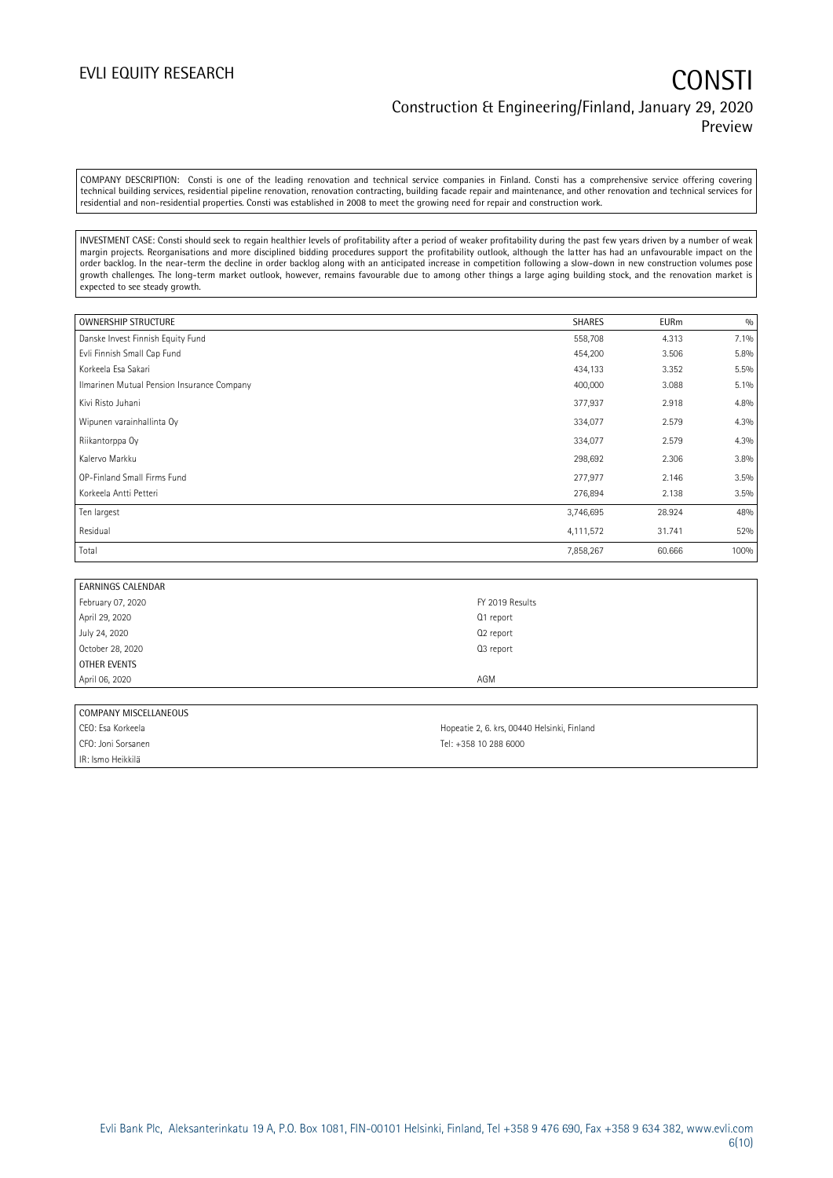COMPANY DESCRIPTION: Consti is one of the leading renovation and technical service companies in Finland. Consti has a comprehensive service offering covering technical building services, residential pipeline renovation, renovation contracting, building facade repair and maintenance, and other renovation and technical services for residential and non-residential properties. Consti was established in 2008 to meet the growing need for repair and construction work.

INVESTMENT CASE: Consti should seek to regain healthier levels of profitability after a period of weaker profitability during the past few years driven by a number of weak margin projects. Reorganisations and more disciplined bidding procedures support the profitability outlook, although the latter has had an unfavourable impact on the order backlog. In the near-term the decline in order backlog along with an anticipated increase in competition following a slow-down in new construction volumes pose growth challenges. The long-term market outlook, however, remains favourable due to among other things a large aging building stock, and the renovation market is expected to see steady growth.

| <b>OWNERSHIP STRUCTURE</b>                 | <b>SHARES</b> | <b>EURm</b> | 0/0  |
|--------------------------------------------|---------------|-------------|------|
| Danske Invest Finnish Equity Fund          | 558,708       | 4.313       | 7.1% |
| Evli Finnish Small Cap Fund                | 454,200       | 3.506       | 5.8% |
| Korkeela Esa Sakari                        | 434,133       | 3.352       | 5.5% |
| Ilmarinen Mutual Pension Insurance Company | 400,000       | 3.088       | 5.1% |
| Kivi Risto Juhani                          | 377,937       | 2.918       | 4.8% |
| Wipunen varainhallinta Oy                  | 334,077       | 2.579       | 4.3% |
| Riikantorppa Oy                            | 334,077       | 2.579       | 4.3% |
| Kalervo Markku                             | 298,692       | 2.306       | 3.8% |
| OP-Finland Small Firms Fund                | 277,977       | 2.146       | 3.5% |
| Korkeela Antti Petteri                     | 276,894       | 2.138       | 3.5% |
| Ten largest                                | 3,746,695     | 28.924      | 48%  |
| Residual                                   | 4,111,572     | 31.741      | 52%  |
| Total                                      | 7,858,267     | 60.666      | 100% |

| <b>EARNINGS CALENDAR</b> |                 |
|--------------------------|-----------------|
| February 07, 2020        | FY 2019 Results |
| April 29, 2020           | Q1 report       |
| July 24, 2020            | Q2 report       |
| October 28, 2020         | Q3 report       |
| OTHER EVENTS             |                 |
| April 06, 2020           | AGM             |

### COMPANY MISCELLANEOUS

CFO: Joni Sorsanen Tel: +358 10 288 6000 IR: Ismo Heikkilä

CEO: Esa Korkeela **Hopeatie 2, 6. krs, 00440 Helsinki, Finland**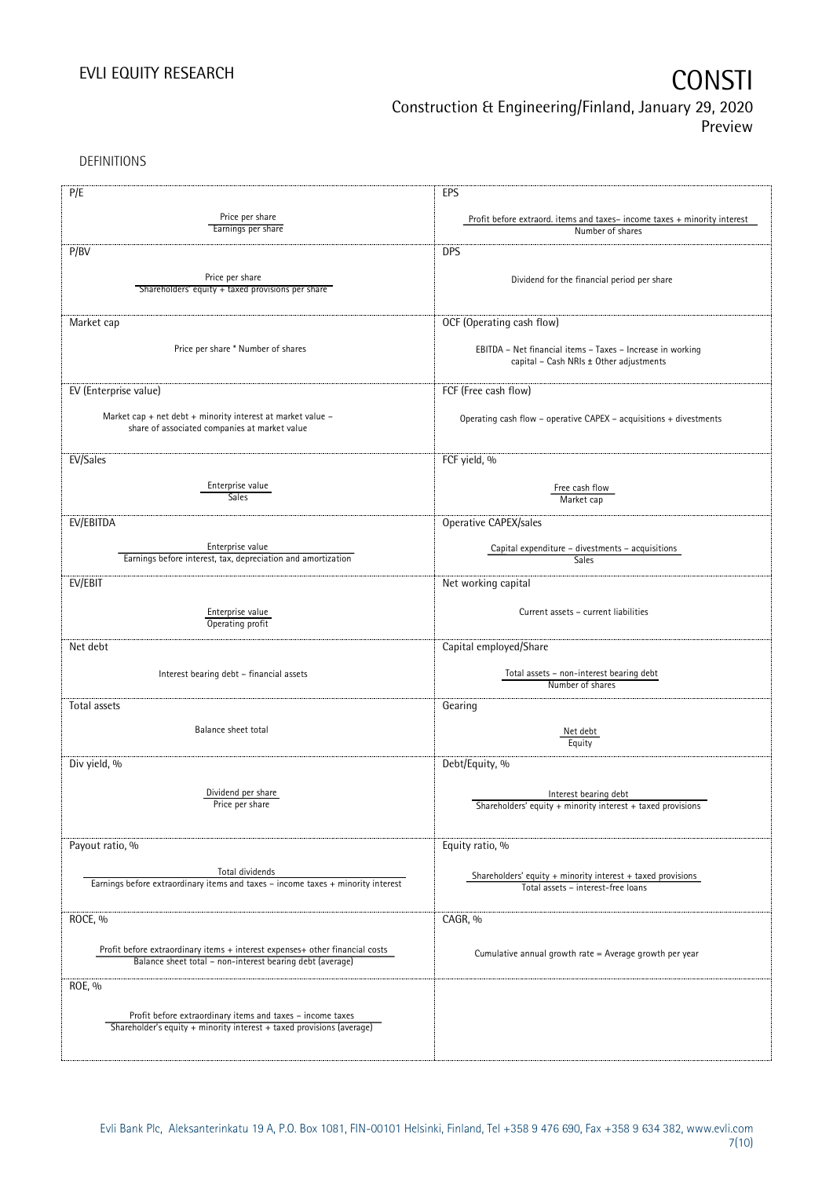DEFINITIONS

| P/E                                                                              | EPS                                                                                                   |
|----------------------------------------------------------------------------------|-------------------------------------------------------------------------------------------------------|
|                                                                                  |                                                                                                       |
| Price per share<br>Earnings per share                                            | Profit before extraord. items and taxes-income taxes + minority interest                              |
|                                                                                  | Number of shares                                                                                      |
| P/BV                                                                             | <b>DPS</b>                                                                                            |
|                                                                                  |                                                                                                       |
| Price per share                                                                  | Dividend for the financial period per share                                                           |
| Shareholders' equity + taxed provisions per share                                |                                                                                                       |
|                                                                                  |                                                                                                       |
| Market cap                                                                       | OCF (Operating cash flow)                                                                             |
|                                                                                  |                                                                                                       |
| Price per share * Number of shares                                               | EBITDA - Net financial items - Taxes - Increase in working                                            |
|                                                                                  | capital - Cash NRIs ± Other adjustments                                                               |
|                                                                                  |                                                                                                       |
| EV (Enterprise value)                                                            | FCF (Free cash flow)                                                                                  |
| Market cap + net debt + minority interest at market value -                      |                                                                                                       |
| share of associated companies at market value                                    | Operating cash flow - operative CAPEX - acquisitions + divestments                                    |
|                                                                                  |                                                                                                       |
|                                                                                  |                                                                                                       |
| EV/Sales                                                                         | FCF yield, %                                                                                          |
| Enterprise value                                                                 |                                                                                                       |
| <b>Sales</b>                                                                     | Free cash flow<br>Market cap                                                                          |
|                                                                                  |                                                                                                       |
| EV/EBITDA                                                                        | Operative CAPEX/sales                                                                                 |
|                                                                                  |                                                                                                       |
| Enterprise value<br>Earnings before interest, tax, depreciation and amortization | Capital expenditure - divestments - acquisitions                                                      |
|                                                                                  | Sales                                                                                                 |
| EV/EBIT                                                                          | Net working capital                                                                                   |
|                                                                                  |                                                                                                       |
| Enterprise value                                                                 | Current assets - current liabilities                                                                  |
| Operating profit                                                                 |                                                                                                       |
|                                                                                  |                                                                                                       |
| Net debt                                                                         | Capital employed/Share                                                                                |
|                                                                                  | Total assets - non-interest bearing debt                                                              |
| Interest bearing debt - financial assets                                         | Number of shares                                                                                      |
|                                                                                  |                                                                                                       |
| Total assets                                                                     | Gearing                                                                                               |
| Balance sheet total                                                              |                                                                                                       |
|                                                                                  | Net debt<br>Equity                                                                                    |
|                                                                                  |                                                                                                       |
| Div yield, %                                                                     | Debt/Equity, %                                                                                        |
|                                                                                  |                                                                                                       |
| Dividend per share                                                               | Interest bearing debt                                                                                 |
| Price per share                                                                  | Shareholders' equity $+$ minority interest $+$ taxed provisions                                       |
|                                                                                  |                                                                                                       |
| Payout ratio, %                                                                  | Equity ratio, %                                                                                       |
|                                                                                  |                                                                                                       |
| Total dividends                                                                  |                                                                                                       |
| Earnings before extraordinary items and taxes - income taxes + minority interest | Shareholders' equity $+$ minority interest $+$ taxed provisions<br>Total assets - interest-free loans |
|                                                                                  |                                                                                                       |
|                                                                                  |                                                                                                       |
| ROCE, %                                                                          | CAGR, %                                                                                               |
|                                                                                  |                                                                                                       |
| Profit before extraordinary items + interest expenses+ other financial costs     | Cumulative annual growth rate = Average growth per year                                               |
| Balance sheet total - non-interest bearing debt (average)                        |                                                                                                       |
| ROE, %                                                                           |                                                                                                       |
|                                                                                  |                                                                                                       |
| Profit before extraordinary items and taxes - income taxes                       |                                                                                                       |
| Shareholder's equity + minority interest + taxed provisions (average)            |                                                                                                       |
|                                                                                  |                                                                                                       |
|                                                                                  |                                                                                                       |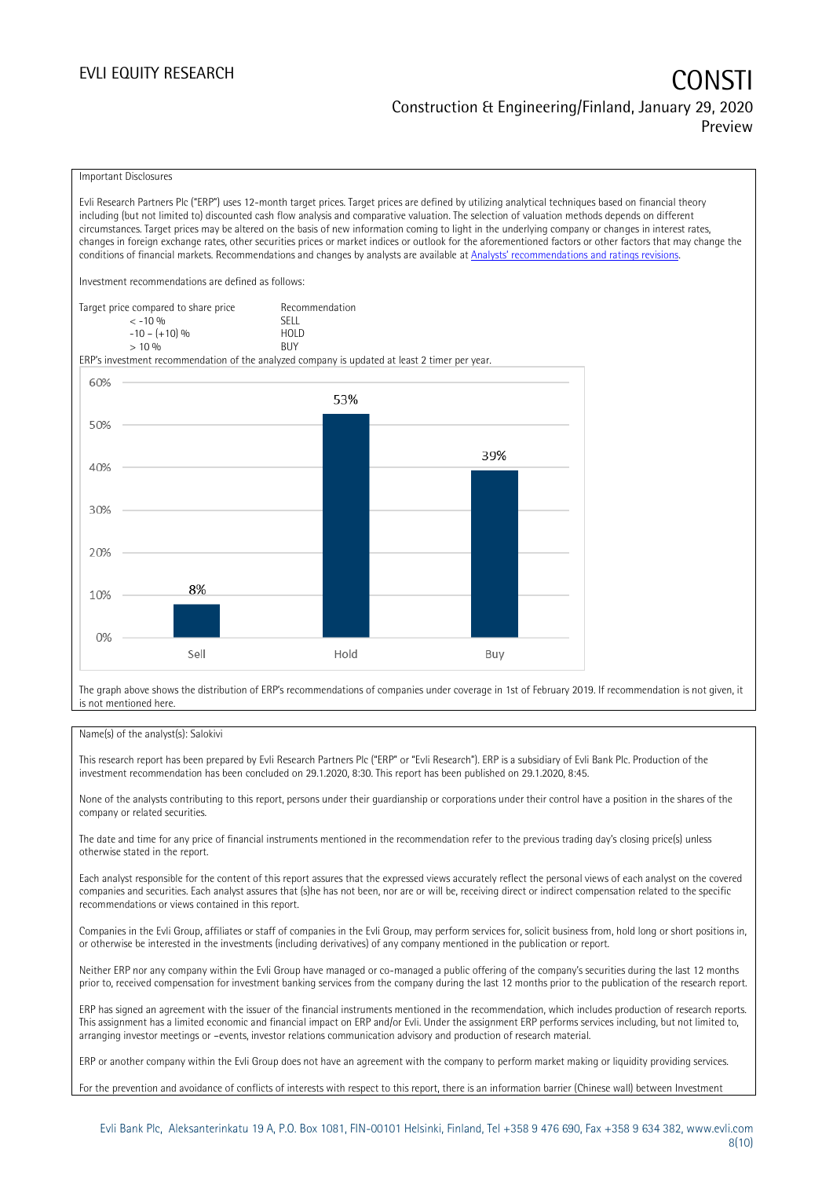## EVLI EQUITY RESEARCH **CONSTITUTE OF A CONSTITUTE OF A CONSTITUTE OF A CONSTITUTE OF A CONSTITUTE OF A CONSTITUTE** Construction & Engineering/Finland, January 29, 2020 Preview

### Important Disclosures

Evli Research Partners Plc ("ERP") uses 12-month target prices. Target prices are defined by utilizing analytical techniques based on financial theory including (but not limited to) discounted cash flow analysis and comparative valuation. The selection of valuation methods depends on different circumstances. Target prices may be altered on the basis of new information coming to light in the underlying company or changes in interest rates, changes in foreign exchange rates, other securities prices or market indices or outlook for the aforementioned factors or other factors that may change the conditions of financial markets. Recommendations and changes by analysts are available at [Analysts' recommendations and ratings revisions](https://research.evli.com/JasperAllModels.action?authParam=key;461&authParam=x;G3rNagWrtf7K&authType=3). Investment recommendations are defined as follows: Target price compared to share price Recommendation < -10 % SELL  $-10 - (+10) \%$  HOL<br>  $> 10 \%$  BUY  $> 10\%$ ERP's investment recommendation of the analyzed company is updated at least 2 timer per year. 60% 53% 50% 39% 40% 30% 20% 8% 10%  $0%$ Hold Sell Buy

The graph above shows the distribution of ERP's recommendations of companies under coverage in 1st of February 2019. If recommendation is not given, it is not mentioned here.

### Name(s) of the analyst(s): Salokivi

This research report has been prepared by Evli Research Partners Plc ("ERP" or "Evli Research"). ERP is a subsidiary of Evli Bank Plc. Production of the investment recommendation has been concluded on 29.1.2020, 8:30. This report has been published on 29.1.2020, 8:45.

None of the analysts contributing to this report, persons under their guardianship or corporations under their control have a position in the shares of the company or related securities.

The date and time for any price of financial instruments mentioned in the recommendation refer to the previous trading day's closing price(s) unless otherwise stated in the report.

Each analyst responsible for the content of this report assures that the expressed views accurately reflect the personal views of each analyst on the covered companies and securities. Each analyst assures that (s)he has not been, nor are or will be, receiving direct or indirect compensation related to the specific recommendations or views contained in this report.

Companies in the Evli Group, affiliates or staff of companies in the Evli Group, may perform services for, solicit business from, hold long or short positions in, or otherwise be interested in the investments (including derivatives) of any company mentioned in the publication or report.

Neither ERP nor any company within the Evli Group have managed or co-managed a public offering of the company's securities during the last 12 months prior to, received compensation for investment banking services from the company during the last 12 months prior to the publication of the research report.

ERP has signed an agreement with the issuer of the financial instruments mentioned in the recommendation, which includes production of research reports. This assignment has a limited economic and financial impact on ERP and/or Evli. Under the assignment ERP performs services including, but not limited to, arranging investor meetings or –events, investor relations communication advisory and production of research material.

ERP or another company within the Evli Group does not have an agreement with the company to perform market making or liquidity providing services.

For the prevention and avoidance of conflicts of interests with respect to this report, there is an information barrier (Chinese wall) between Investment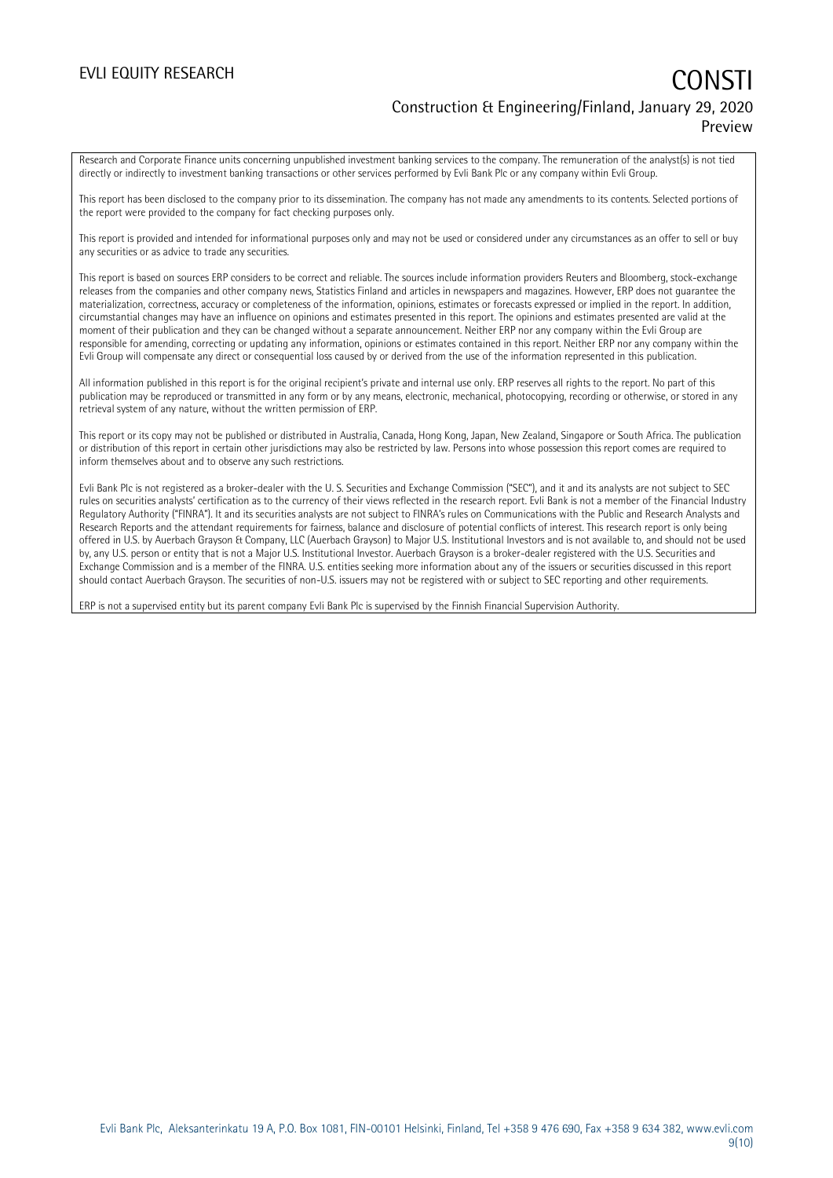## EVLI EQUITY RESEARCH **CONSTITUTE OF A CONSTITUTE OF A CONSTITUTE OF A CONSTITUTE OF A CONSTITUTE OF A CONSTITUTE** Construction & Engineering/Finland, January 29, 2020 Preview

Research and Corporate Finance units concerning unpublished investment banking services to the company. The remuneration of the analyst(s) is not tied directly or indirectly to investment banking transactions or other services performed by Evli Bank Plc or any company within Evli Group.

This report has been disclosed to the company prior to its dissemination. The company has not made any amendments to its contents. Selected portions of the report were provided to the company for fact checking purposes only.

This report is provided and intended for informational purposes only and may not be used or considered under any circumstances as an offer to sell or buy any securities or as advice to trade any securities.

This report is based on sources ERP considers to be correct and reliable. The sources include information providers Reuters and Bloomberg, stock-exchange releases from the companies and other company news, Statistics Finland and articles in newspapers and magazines. However, ERP does not guarantee the materialization, correctness, accuracy or completeness of the information, opinions, estimates or forecasts expressed or implied in the report. In addition, circumstantial changes may have an influence on opinions and estimates presented in this report. The opinions and estimates presented are valid at the moment of their publication and they can be changed without a separate announcement. Neither ERP nor any company within the Evli Group are responsible for amending, correcting or updating any information, opinions or estimates contained in this report. Neither ERP nor any company within the Evli Group will compensate any direct or consequential loss caused by or derived from the use of the information represented in this publication.

All information published in this report is for the original recipient's private and internal use only. ERP reserves all rights to the report. No part of this publication may be reproduced or transmitted in any form or by any means, electronic, mechanical, photocopying, recording or otherwise, or stored in any retrieval system of any nature, without the written permission of ERP.

This report or its copy may not be published or distributed in Australia, Canada, Hong Kong, Japan, New Zealand, Singapore or South Africa. The publication or distribution of this report in certain other jurisdictions may also be restricted by law. Persons into whose possession this report comes are required to inform themselves about and to observe any such restrictions.

Evli Bank Plc is not registered as a broker-dealer with the U. S. Securities and Exchange Commission ("SEC"), and it and its analysts are not subject to SEC rules on securities analysts' certification as to the currency of their views reflected in the research report. Evli Bank is not a member of the Financial Industry Regulatory Authority ("FINRA"). It and its securities analysts are not subject to FINRA's rules on Communications with the Public and Research Analysts and Research Reports and the attendant requirements for fairness, balance and disclosure of potential conflicts of interest. This research report is only being offered in U.S. by Auerbach Grayson & Company, LLC (Auerbach Grayson) to Major U.S. Institutional Investors and is not available to, and should not be used by, any U.S. person or entity that is not a Major U.S. Institutional Investor. Auerbach Grayson is a broker-dealer registered with the U.S. Securities and Exchange Commission and is a member of the FINRA. U.S. entities seeking more information about any of the issuers or securities discussed in this report should contact Auerbach Grayson. The securities of non-U.S. issuers may not be registered with or subject to SEC reporting and other requirements.

ERP is not a supervised entity but its parent company Evli Bank Plc is supervised by the Finnish Financial Supervision Authority.